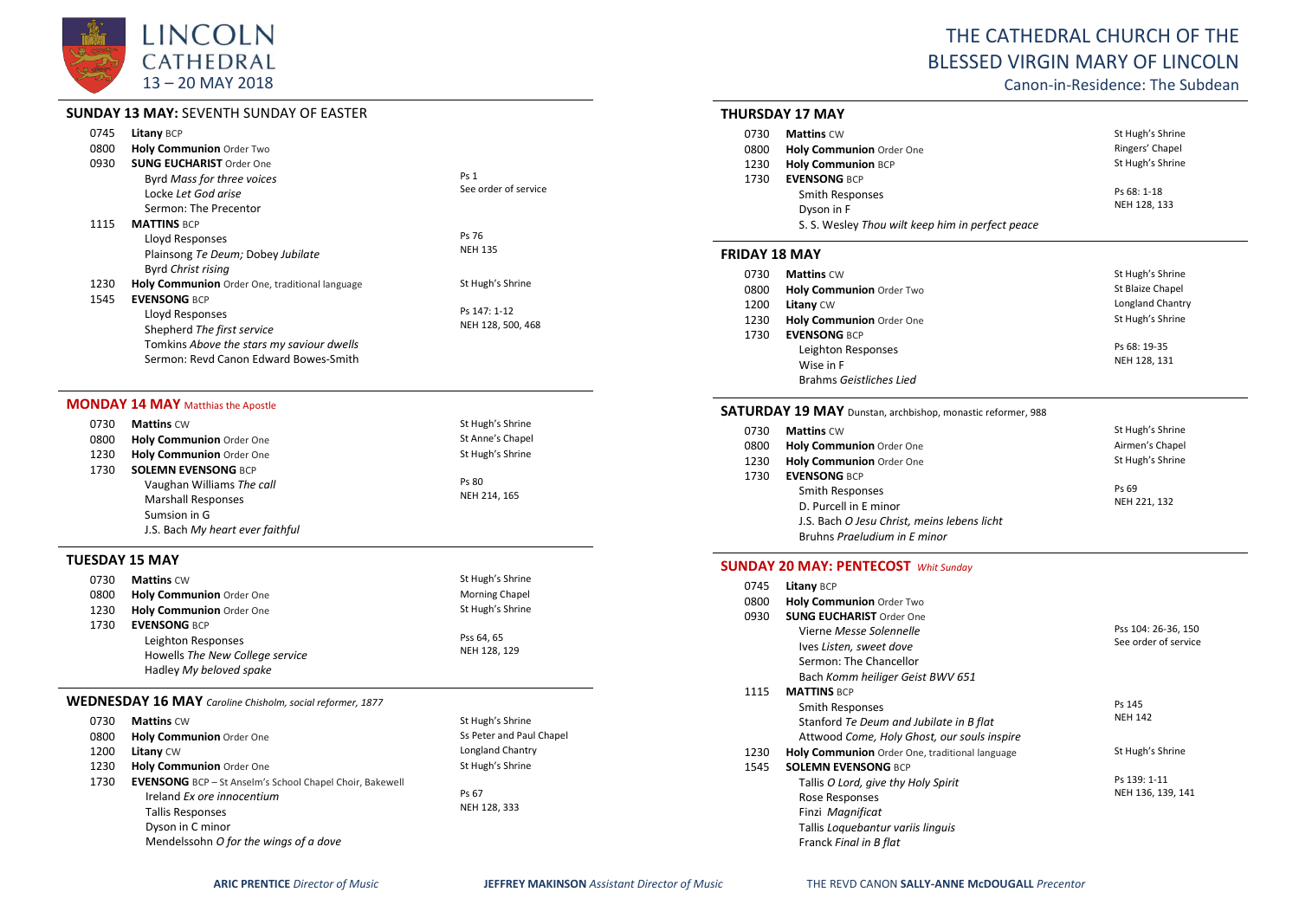

# **SUNDAY 13 MAY:** SEVENTH SUNDAY OF EASTER

| 0745 | Litany BCP                                     |                      |
|------|------------------------------------------------|----------------------|
| 0800 | Holy Communion Order Two                       |                      |
| 0930 | <b>SUNG EUCHARIST Order One</b>                |                      |
|      | Byrd Mass for three voices                     | <b>Ps 1</b>          |
|      | Locke Let God arise                            | See order of service |
|      | Sermon: The Precentor                          |                      |
| 1115 | <b>MATTINS BCP</b>                             |                      |
|      | Lloyd Responses                                | Ps 76                |
|      | Plainsong Te Deum; Dobey Jubilate              | <b>NEH 135</b>       |
|      | <b>Byrd Christ rising</b>                      |                      |
| 1230 | Holy Communion Order One, traditional language | St Hugh's Shrine     |
| 1545 | <b>EVENSONG BCP</b>                            |                      |
|      | Lloyd Responses                                | Ps 147: 1-12         |
|      | Shepherd The first service                     | NEH 128, 500, 468    |
|      | Tomkins Above the stars my saviour dwells      |                      |
|      | Sermon: Revd Canon Edward Bowes-Smith          |                      |

### **MONDAY 14 MAY** Matthias the Apostle

| 0730 | <b>Mattins CW</b>                | St Hugh's Shrine |
|------|----------------------------------|------------------|
| 0800 | <b>Holy Communion Order One</b>  | St Anne's Chapel |
| 1230 | Holy Communion Order One         | St Hugh's Shrine |
| 1730 | <b>SOLEMN EVENSONG BCP</b>       |                  |
|      | Vaughan Williams The call        | Ps 80            |
|      | <b>Marshall Responses</b>        | NEH 214, 165     |
|      | Sumsion in G                     |                  |
|      | J.S. Bach My heart ever faithful |                  |

## **TUESDAY 15 MAY**

| 0730 | <b>Mattins CW</b>               | St Hugh's Shrine      |
|------|---------------------------------|-----------------------|
| 0800 | <b>Holy Communion Order One</b> | <b>Morning Chapel</b> |
| 1230 | <b>Holy Communion Order One</b> | St Hugh's Shrine      |
| 1730 | <b>EVENSONG BCP</b>             |                       |
|      | Leighton Responses              | Pss 64.65             |
|      | Howells The New College service | NEH 128, 129          |
|      | Hadley My beloved spake         |                       |

#### **WEDNESDAY 16 MAY** *Caroline Chisholm, social reformer, 1877*

| 0730 | <b>Mattins CW</b>                                               | St Hugh's Shrine         |
|------|-----------------------------------------------------------------|--------------------------|
| 0800 | Holy Communion Order One                                        | Ss Peter and Paul Chapel |
| 1200 | Litany CW                                                       | Longland Chantry         |
| 1230 | Holy Communion Order One                                        | St Hugh's Shrine         |
| 1730 | <b>EVENSONG</b> BCP - St Anselm's School Chapel Choir, Bakewell |                          |
|      | Ireland Ex ore innocentium                                      | Ps 67                    |
|      | <b>Tallis Responses</b>                                         | NEH 128, 333             |
|      | Dyson in C minor                                                |                          |
|      | Mendelssohn O for the wings of a dove                           |                          |

# THE CATHEDRAL CHURCH OF THE BLESSED VIRGIN MARY OF LINCOLN

Canon-in-Residence: The Subdean

## **THURSDAY 17 MAY**

| 0730 | <b>Mattins CW</b>                                | St Hugh's Shrine |
|------|--------------------------------------------------|------------------|
| 0800 | Holy Communion Order One                         | Ringers' Chapel  |
| 1230 | <b>Holy Communion BCP</b>                        | St Hugh's Shrine |
| 1730 | <b>EVENSONG BCP</b>                              |                  |
|      | Smith Responses                                  | Ps 68: 1-18      |
|      | Dyson in F                                       | NEH 128, 133     |
|      | S. S. Wesley Thou wilt keep him in perfect peace |                  |

#### **FRIDAY 18 MAY**

| 0730 | <b>Mattins CW</b>        | St Hugh's Shrine |
|------|--------------------------|------------------|
| 0800 | Holy Communion Order Two | St Blaize Chapel |
| 1200 | Litany CW                | Longland Chantry |
| 1230 | Holy Communion Order One | St Hugh's Shrine |
| 1730 | <b>EVENSONG BCP</b>      |                  |
|      | Leighton Responses       | Ps 68: 19-35     |
|      | Wise in F                | NEH 128, 131     |
|      | Brahms Geistliches Lied  |                  |

### **SATURDAY 19 MAY** Dunstan, archbishop, monastic reformer, 988

| 0730 | <b>Mattins CW</b>                           | St Hugh's Shrine |
|------|---------------------------------------------|------------------|
| 0800 | Holy Communion Order One                    | Airmen's Chapel  |
| 1230 | Holy Communion Order One                    | St Hugh's Shrine |
| 1730 | <b>EVENSONG BCP</b>                         |                  |
|      | Smith Responses                             | Ps 69            |
|      | D. Purcell in E minor                       | NEH 221, 132     |
|      | J.S. Bach O Jesu Christ, meins lebens licht |                  |
|      | Bruhns Praeludium in E minor                |                  |

# **SUNDAY 20 MAY: PENTECOST** *Whit Sunday*

| 0745 | <b>Litany BCP</b>                              |                      |
|------|------------------------------------------------|----------------------|
| 0800 | <b>Holy Communion Order Two</b>                |                      |
| 0930 | <b>SUNG EUCHARIST Order One</b>                |                      |
|      | Vierne Messe Solennelle                        | Pss 104: 26-36, 150  |
|      | lves Listen, sweet dove                        | See order of service |
|      | Sermon: The Chancellor                         |                      |
|      | Bach Komm heiliger Geist BWV 651               |                      |
| 1115 | <b>MATTINS BCP</b>                             |                      |
|      | Smith Responses                                | Ps 145               |
|      | Stanford Te Deum and Jubilate in B flat        | <b>NEH 142</b>       |
|      | Attwood Come, Holy Ghost, our souls inspire    |                      |
| 1230 | Holy Communion Order One, traditional language | St Hugh's Shrine     |
| 1545 | <b>SOLEMN EVENSONG BCP</b>                     |                      |
|      | Tallis O Lord, give thy Holy Spirit            | Ps 139: 1-11         |
|      | Rose Responses                                 | NEH 136, 139, 141    |
|      | Finzi Magnificat                               |                      |
|      | Tallis Loguebantur variis linguis              |                      |
|      | Franck Final in B flat                         |                      |